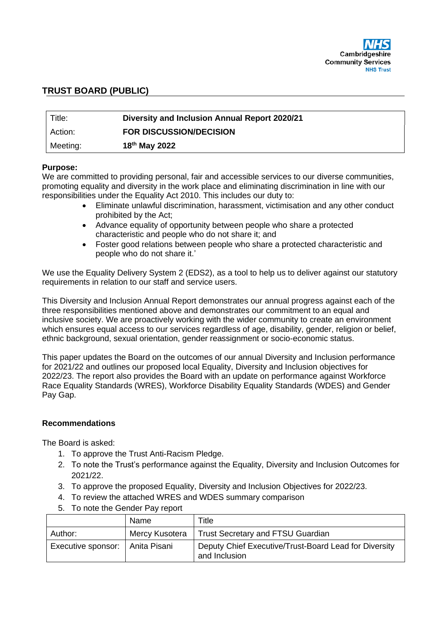

### **TRUST BOARD (PUBLIC)**

| Title:   | Diversity and Inclusion Annual Report 2020/21 |
|----------|-----------------------------------------------|
| Action:  | <b>FOR DISCUSSION/DECISION</b>                |
| Meeting: | 18 <sup>th</sup> May 2022                     |

#### **Purpose:**

We are committed to providing personal, fair and accessible services to our diverse communities, promoting equality and diversity in the work place and eliminating discrimination in line with our responsibilities under the Equality Act 2010. This includes our duty to:

- Eliminate unlawful discrimination, harassment, victimisation and any other conduct prohibited by the Act;
- Advance equality of opportunity between people who share a protected characteristic and people who do not share it; and
- Foster good relations between people who share a protected characteristic and people who do not share it.'

We use the Equality Delivery System 2 (EDS2), as a tool to help us to deliver against our statutory requirements in relation to our staff and service users.

This Diversity and Inclusion Annual Report demonstrates our annual progress against each of the three responsibilities mentioned above and demonstrates our commitment to an equal and inclusive society. We are proactively working with the wider community to create an environment which ensures equal access to our services regardless of age, disability, gender, religion or belief, ethnic background, sexual orientation, gender reassignment or socio-economic status.

This paper updates the Board on the outcomes of our annual Diversity and Inclusion performance for 2021/22 and outlines our proposed local Equality, Diversity and Inclusion objectives for 2022/23. The report also provides the Board with an update on performance against Workforce Race Equality Standards (WRES), Workforce Disability Equality Standards (WDES) and Gender Pay Gap.

# **Recommendations**

The Board is asked:

- 1. To approve the Trust Anti-Racism Pledge.
- 2. To note the Trust's performance against the Equality, Diversity and Inclusion Outcomes for 2021/22.
- 3. To approve the proposed Equality, Diversity and Inclusion Objectives for 2022/23.
- 4. To review the attached WRES and WDES summary comparison
- 5. To note the Gender Pay report

|                                    | Name           | Title                                                                  |  |  |  |
|------------------------------------|----------------|------------------------------------------------------------------------|--|--|--|
| Author:                            | Mercy Kusotera | Trust Secretary and FTSU Guardian                                      |  |  |  |
| Anita Pisani<br>Executive sponsor: |                | Deputy Chief Executive/Trust-Board Lead for Diversity<br>and Inclusion |  |  |  |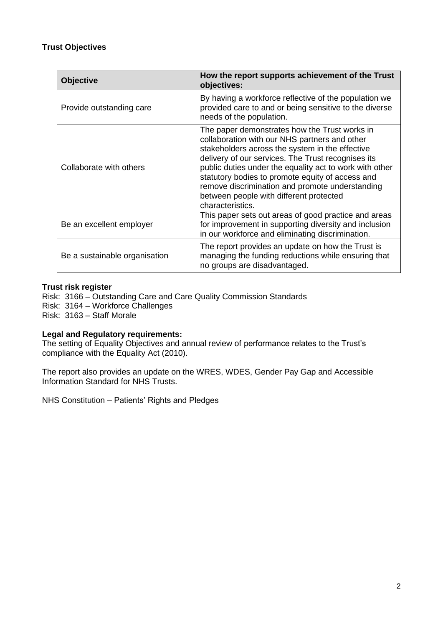# **Trust Objectives**

| <b>Objective</b>              | How the report supports achievement of the Trust<br>objectives:                                                                                                                                                                                                                                                                                                                                                                          |  |  |  |  |
|-------------------------------|------------------------------------------------------------------------------------------------------------------------------------------------------------------------------------------------------------------------------------------------------------------------------------------------------------------------------------------------------------------------------------------------------------------------------------------|--|--|--|--|
| Provide outstanding care      | By having a workforce reflective of the population we<br>provided care to and or being sensitive to the diverse<br>needs of the population.                                                                                                                                                                                                                                                                                              |  |  |  |  |
| Collaborate with others       | The paper demonstrates how the Trust works in<br>collaboration with our NHS partners and other<br>stakeholders across the system in the effective<br>delivery of our services. The Trust recognises its<br>public duties under the equality act to work with other<br>statutory bodies to promote equity of access and<br>remove discrimination and promote understanding<br>between people with different protected<br>characteristics. |  |  |  |  |
| Be an excellent employer      | This paper sets out areas of good practice and areas<br>for improvement in supporting diversity and inclusion<br>in our workforce and eliminating discrimination.                                                                                                                                                                                                                                                                        |  |  |  |  |
| Be a sustainable organisation | The report provides an update on how the Trust is<br>managing the funding reductions while ensuring that<br>no groups are disadvantaged.                                                                                                                                                                                                                                                                                                 |  |  |  |  |

### **Trust risk register**

Risk: 3166 – Outstanding Care and Care Quality Commission Standards Risk: 3164 – Workforce Challenges

Risk: 3163 – Staff Morale

### **Legal and Regulatory requirements:**

The setting of Equality Objectives and annual review of performance relates to the Trust's compliance with the Equality Act (2010).

The report also provides an update on the WRES, WDES, Gender Pay Gap and Accessible Information Standard for NHS Trusts.

NHS Constitution – Patients' Rights and Pledges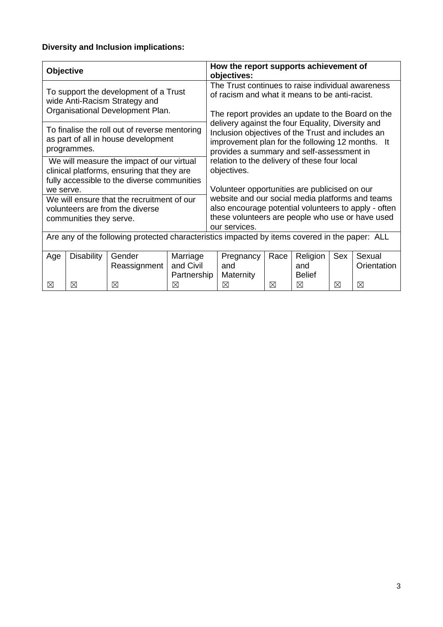# **Diversity and Inclusion implications:**

| <b>Objective</b>                                                                                           |                   |                        | How the report supports achievement of<br>objectives:       |                                                                                                                                                                                                         |                  |      |                 |     |                       |
|------------------------------------------------------------------------------------------------------------|-------------------|------------------------|-------------------------------------------------------------|---------------------------------------------------------------------------------------------------------------------------------------------------------------------------------------------------------|------------------|------|-----------------|-----|-----------------------|
| To support the development of a Trust<br>wide Anti-Racism Strategy and<br>Organisational Development Plan. |                   |                        |                                                             | The Trust continues to raise individual awareness<br>of racism and what it means to be anti-racist.<br>The report provides an update to the Board on the                                                |                  |      |                 |     |                       |
| To finalise the roll out of reverse mentoring<br>as part of all in house development<br>programmes.        |                   |                        |                                                             | delivery against the four Equality, Diversity and<br>Inclusion objectives of the Trust and includes an<br>improvement plan for the following 12 months. It<br>provides a summary and self-assessment in |                  |      |                 |     |                       |
| We will measure the impact of our virtual<br>clinical platforms, ensuring that they are                    |                   |                        | relation to the delivery of these four local<br>objectives. |                                                                                                                                                                                                         |                  |      |                 |     |                       |
| fully accessible to the diverse communities                                                                |                   |                        |                                                             |                                                                                                                                                                                                         |                  |      |                 |     |                       |
| we serve.<br>We will ensure that the recruitment of our                                                    |                   |                        |                                                             | Volunteer opportunities are publicised on our<br>website and our social media platforms and teams                                                                                                       |                  |      |                 |     |                       |
| volunteers are from the diverse                                                                            |                   |                        | also encourage potential volunteers to apply - often        |                                                                                                                                                                                                         |                  |      |                 |     |                       |
| communities they serve.                                                                                    |                   |                        |                                                             | these volunteers are people who use or have used<br>our services.                                                                                                                                       |                  |      |                 |     |                       |
| Are any of the following protected characteristics impacted by items covered in the paper: ALL             |                   |                        |                                                             |                                                                                                                                                                                                         |                  |      |                 |     |                       |
| Age                                                                                                        | <b>Disability</b> | Gender<br>Reassignment | Marriage<br>and Civil                                       |                                                                                                                                                                                                         | Pregnancy<br>and | Race | Religion<br>and | Sex | Sexual<br>Orientation |
|                                                                                                            |                   |                        | Partnership                                                 |                                                                                                                                                                                                         | Maternity        |      | <b>Belief</b>   |     |                       |
| ⊠                                                                                                          | ⊠                 | ⊠                      | ⊠                                                           |                                                                                                                                                                                                         | ⊠                | ⊠    | ⊠               | ⊠   | ⊠                     |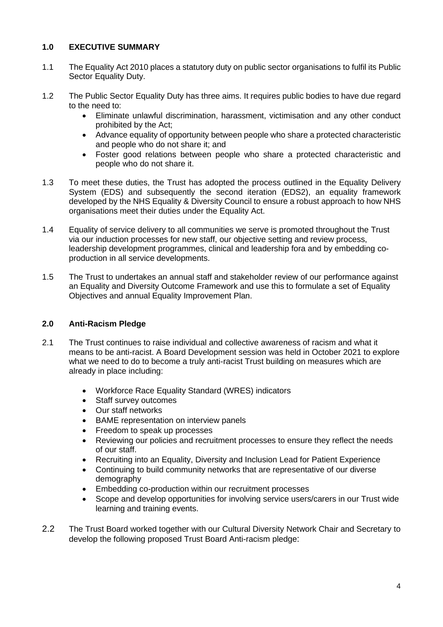# **1.0 EXECUTIVE SUMMARY**

- 1.1 The Equality Act 2010 places a statutory duty on public sector organisations to fulfil its Public Sector Equality Duty.
- 1.2 The Public Sector Equality Duty has three aims. It requires public bodies to have due regard to the need to:
	- Eliminate unlawful discrimination, harassment, victimisation and any other conduct prohibited by the Act;
	- Advance equality of opportunity between people who share a protected characteristic and people who do not share it; and
	- Foster good relations between people who share a protected characteristic and people who do not share it.
- 1.3 To meet these duties, the Trust has adopted the process outlined in the Equality Delivery System (EDS) and subsequently the second iteration (EDS2), an equality framework developed by the NHS Equality & Diversity Council to ensure a robust approach to how NHS organisations meet their duties under the Equality Act.
- 1.4 Equality of service delivery to all communities we serve is promoted throughout the Trust via our induction processes for new staff, our objective setting and review process, leadership development programmes, clinical and leadership fora and by embedding coproduction in all service developments.
- 1.5 The Trust to undertakes an annual staff and stakeholder review of our performance against an Equality and Diversity Outcome Framework and use this to formulate a set of Equality Objectives and annual Equality Improvement Plan.

# **2.0 Anti-Racism Pledge**

- 2.1 The Trust continues to raise individual and collective awareness of racism and what it means to be anti-racist. A Board Development session was held in October 2021 to explore what we need to do to become a truly anti-racist Trust building on measures which are already in place including:
	- Workforce Race Equality Standard (WRES) indicators
	- Staff survey outcomes
	- Our staff networks
	- BAME representation on interview panels
	- Freedom to speak up processes
	- Reviewing our policies and recruitment processes to ensure they reflect the needs of our staff.
	- Recruiting into an Equality, Diversity and Inclusion Lead for Patient Experience
	- Continuing to build community networks that are representative of our diverse demography
	- Embedding co-production within our recruitment processes
	- Scope and develop opportunities for involving service users/carers in our Trust wide learning and training events.
- 2.2 The Trust Board worked together with our Cultural Diversity Network Chair and Secretary to develop the following proposed Trust Board Anti-racism pledge: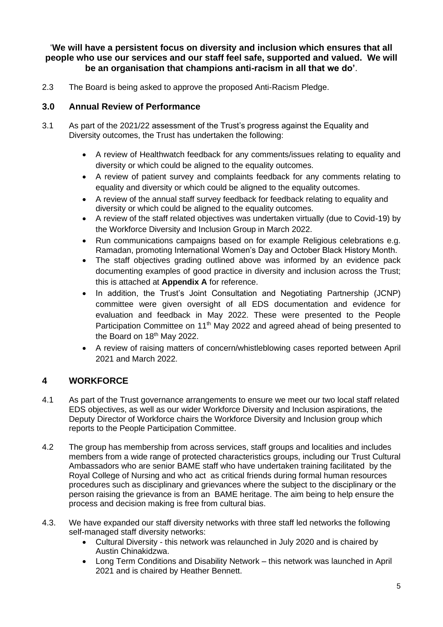'**We will have a persistent focus on diversity and inclusion which ensures that all people who use our services and our staff feel safe, supported and valued. We will be an organisation that champions anti-racism in all that we do'**.

2.3 The Board is being asked to approve the proposed Anti-Racism Pledge.

# **3.0 Annual Review of Performance**

- 3.1 As part of the 2021/22 assessment of the Trust's progress against the Equality and Diversity outcomes, the Trust has undertaken the following:
	- A review of Healthwatch feedback for any comments/issues relating to equality and diversity or which could be aligned to the equality outcomes.
	- A review of patient survey and complaints feedback for any comments relating to equality and diversity or which could be aligned to the equality outcomes.
	- A review of the annual staff survey feedback for feedback relating to equality and diversity or which could be aligned to the equality outcomes.
	- A review of the staff related objectives was undertaken virtually (due to Covid-19) by the Workforce Diversity and Inclusion Group in March 2022.
	- Run communications campaigns based on for example Religious celebrations e.g. Ramadan, promoting International Women's Day and October Black History Month.
	- The staff objectives grading outlined above was informed by an evidence pack documenting examples of good practice in diversity and inclusion across the Trust; this is attached at **Appendix A** for reference.
	- In addition, the Trust's Joint Consultation and Negotiating Partnership (JCNP) committee were given oversight of all EDS documentation and evidence for evaluation and feedback in May 2022. These were presented to the People Participation Committee on 11<sup>th</sup> May 2022 and agreed ahead of being presented to the Board on 18<sup>th</sup> May 2022.
	- A review of raising matters of concern/whistleblowing cases reported between April 2021 and March 2022.

# **4 WORKFORCE**

- 4.1 As part of the Trust governance arrangements to ensure we meet our two local staff related EDS objectives, as well as our wider Workforce Diversity and Inclusion aspirations, the Deputy Director of Workforce chairs the Workforce Diversity and Inclusion group which reports to the People Participation Committee.
- 4.2 The group has membership from across services, staff groups and localities and includes members from a wide range of protected characteristics groups, including our Trust Cultural Ambassadors who are senior BAME staff who have undertaken training facilitated by the Royal College of Nursing and who act as critical friends during formal human resources procedures such as disciplinary and grievances where the subject to the disciplinary or the person raising the grievance is from an BAME heritage. The aim being to help ensure the process and decision making is free from cultural bias.
- 4.3. We have expanded our staff diversity networks with three staff led networks the following self-managed staff diversity networks:
	- Cultural Diversity this network was relaunched in July 2020 and is chaired by Austin Chinakidzwa.
	- Long Term Conditions and Disability Network this network was launched in April 2021 and is chaired by Heather Bennett.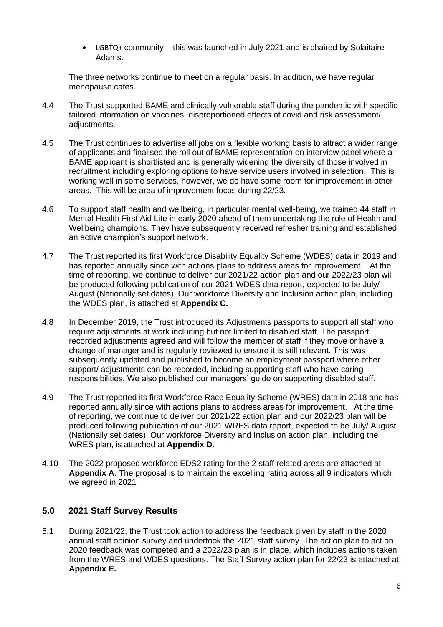• LGBTQ+ community – this was launched in July 2021 and is chaired by Solaitaire Adams.

The three networks continue to meet on a regular basis. In addition, we have regular menopause cafes.

- 4.4 The Trust supported BAME and clinically vulnerable staff during the pandemic with specific tailored information on vaccines, disproportioned effects of covid and risk assessment/ adjustments.
- 4.5 The Trust continues to advertise all jobs on a flexible working basis to attract a wider range of applicants and finalised the roll out of BAME representation on interview panel where a BAME applicant is shortlisted and is generally widening the diversity of those involved in recruitment including exploring options to have service users involved in selection. This is working well in some services, however, we do have some room for improvement in other areas. This will be area of improvement focus during 22/23.
- 4.6 To support staff health and wellbeing, in particular mental well-being, we trained 44 staff in Mental Health First Aid Lite in early 2020 ahead of them undertaking the role of Health and Wellbeing champions. They have subsequently received refresher training and established an active champion's support network.
- 4.7 The Trust reported its first Workforce Disability Equality Scheme (WDES) data in 2019 and has reported annually since with actions plans to address areas for improvement. At the time of reporting, we continue to deliver our 2021/22 action plan and our 2022/23 plan will be produced following publication of our 2021 WDES data report, expected to be July/ August (Nationally set dates). Our workforce Diversity and Inclusion action plan, including the WDES plan, is attached at **Appendix C.**
- 4.8 In December 2019, the Trust introduced its Adjustments passports to support all staff who require adjustments at work including but not limited to disabled staff. The passport recorded adjustments agreed and will follow the member of staff if they move or have a change of manager and is regularly reviewed to ensure it is still relevant. This was subsequently updated and published to become an employment passport where other support/ adjustments can be recorded, including supporting staff who have caring responsibilities. We also published our managers' guide on supporting disabled staff.
- 4.9 The Trust reported its first Workforce Race Equality Scheme (WRES) data in 2018 and has reported annually since with actions plans to address areas for improvement. At the time of reporting, we continue to deliver our 2021/22 action plan and our 2022/23 plan will be produced following publication of our 2021 WRES data report, expected to be July/ August (Nationally set dates). Our workforce Diversity and Inclusion action plan, including the WRES plan, is attached at **Appendix D.**
- 4.10 The 2022 proposed workforce EDS2 rating for the 2 staff related areas are attached at **Appendix A**. The proposal is to maintain the excelling rating across all 9 indicators which we agreed in 2021

# **5.0 2021 Staff Survey Results**

5.1 During 2021/22, the Trust took action to address the feedback given by staff in the 2020 annual staff opinion survey and undertook the 2021 staff survey. The action plan to act on 2020 feedback was competed and a 2022/23 plan is in place, which includes actions taken from the WRES and WDES questions. The Staff Survey action plan for 22/23 is attached at **Appendix E.**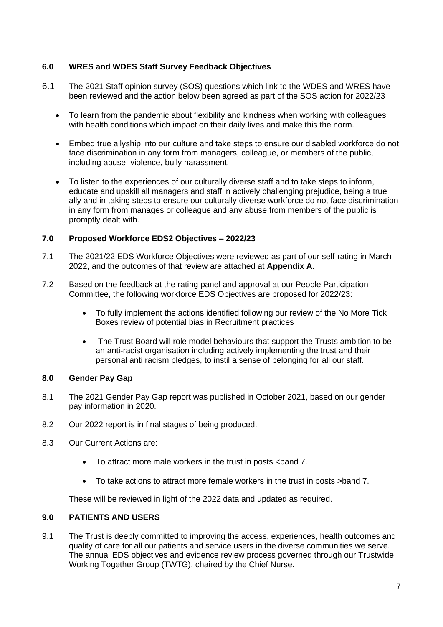### **6.0 WRES and WDES Staff Survey Feedback Objectives**

- 6.1 The 2021 Staff opinion survey (SOS) questions which link to the WDES and WRES have been reviewed and the action below been agreed as part of the SOS action for 2022/23
	- To learn from the pandemic about flexibility and kindness when working with colleagues with health conditions which impact on their daily lives and make this the norm.
	- Embed true allyship into our culture and take steps to ensure our disabled workforce do not face discrimination in any form from managers, colleague, or members of the public, including abuse, violence, bully harassment.
	- To listen to the experiences of our culturally diverse staff and to take steps to inform, educate and upskill all managers and staff in actively challenging prejudice, being a true ally and in taking steps to ensure our culturally diverse workforce do not face discrimination in any form from manages or colleague and any abuse from members of the public is promptly dealt with.

### **7.0 Proposed Workforce EDS2 Objectives – 2022/23**

- 7.1 The 2021/22 EDS Workforce Objectives were reviewed as part of our self-rating in March 2022, and the outcomes of that review are attached at **Appendix A.**
- 7.2 Based on the feedback at the rating panel and approval at our People Participation Committee, the following workforce EDS Objectives are proposed for 2022/23:
	- To fully implement the actions identified following our review of the No More Tick Boxes review of potential bias in Recruitment practices
	- The Trust Board will role model behaviours that support the Trusts ambition to be an anti-racist organisation including actively implementing the trust and their personal anti racism pledges, to instil a sense of belonging for all our staff.

### **8.0 Gender Pay Gap**

- 8.1 The 2021 Gender Pay Gap report was published in October 2021, based on our gender pay information in 2020.
- 8.2 Our 2022 report is in final stages of being produced.
- 8.3 Our Current Actions are:
	- To attract more male workers in the trust in posts <band 7.
	- To take actions to attract more female workers in the trust in posts >band 7.

These will be reviewed in light of the 2022 data and updated as required.

### **9.0 PATIENTS AND USERS**

9.1 The Trust is deeply committed to improving the access, experiences, health outcomes and quality of care for all our patients and service users in the diverse communities we serve. The annual EDS objectives and evidence review process governed through our Trustwide Working Together Group (TWTG), chaired by the Chief Nurse.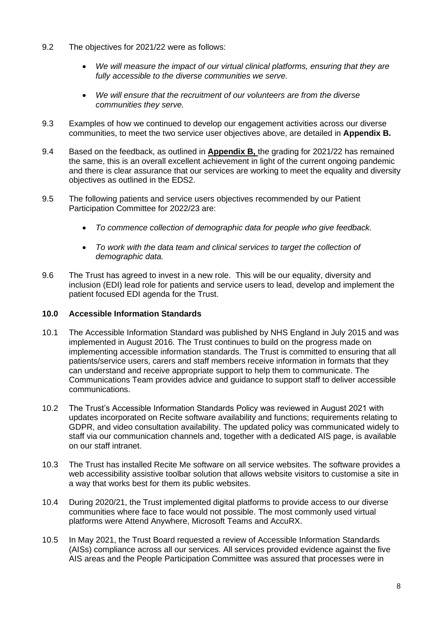- 9.2 The objectives for 2021/22 were as follows:
	- *We will measure the impact of our virtual clinical platforms, ensuring that they are fully accessible to the diverse communities we serve.*
	- *We will ensure that the recruitment of our volunteers are from the diverse communities they serve.*
- 9.3 Examples of how we continued to develop our engagement activities across our diverse communities, to meet the two service user objectives above, are detailed in **Appendix B.**
- 9.4 Based on the feedback, as outlined in **Appendix B,** the grading for 2021/22 has remained the same, this is an overall excellent achievement in light of the current ongoing pandemic and there is clear assurance that our services are working to meet the equality and diversity objectives as outlined in the EDS2.
- 9.5 The following patients and service users objectives recommended by our Patient Participation Committee for 2022/23 are:
	- *To commence collection of demographic data for people who give feedback.*
	- *To work with the data team and clinical services to target the collection of demographic data.*
- 9.6 The Trust has agreed to invest in a new role. This will be our equality, diversity and inclusion (EDI) lead role for patients and service users to lead, develop and implement the patient focused EDI agenda for the Trust.

### **10.0 Accessible Information Standards**

- 10.1 The Accessible Information Standard was published by NHS England in July 2015 and was implemented in August 2016. The Trust continues to build on the progress made on implementing accessible information standards. The Trust is committed to ensuring that all patients/service users, carers and staff members receive information in formats that they can understand and receive appropriate support to help them to communicate. The Communications Team provides advice and guidance to support staff to deliver accessible communications.
- 10.2 The Trust's Accessible Information Standards Policy was reviewed in August 2021 with updates incorporated on Recite software availability and functions; requirements relating to GDPR, and video consultation availability. The updated policy was communicated widely to staff via our communication channels and, together with a dedicated AIS page, is available on our staff intranet.
- 10.3 The Trust has installed Recite Me software on all service websites. The software provides a web accessibility assistive toolbar solution that allows website visitors to customise a site in a way that works best for them its public websites.
- 10.4 During 2020/21, the Trust implemented digital platforms to provide access to our diverse communities where face to face would not possible. The most commonly used virtual platforms were Attend Anywhere, Microsoft Teams and AccuRX.
- 10.5 In May 2021, the Trust Board requested a review of Accessible Information Standards (AISs) compliance across all our services. All services provided evidence against the five AIS areas and the People Participation Committee was assured that processes were in